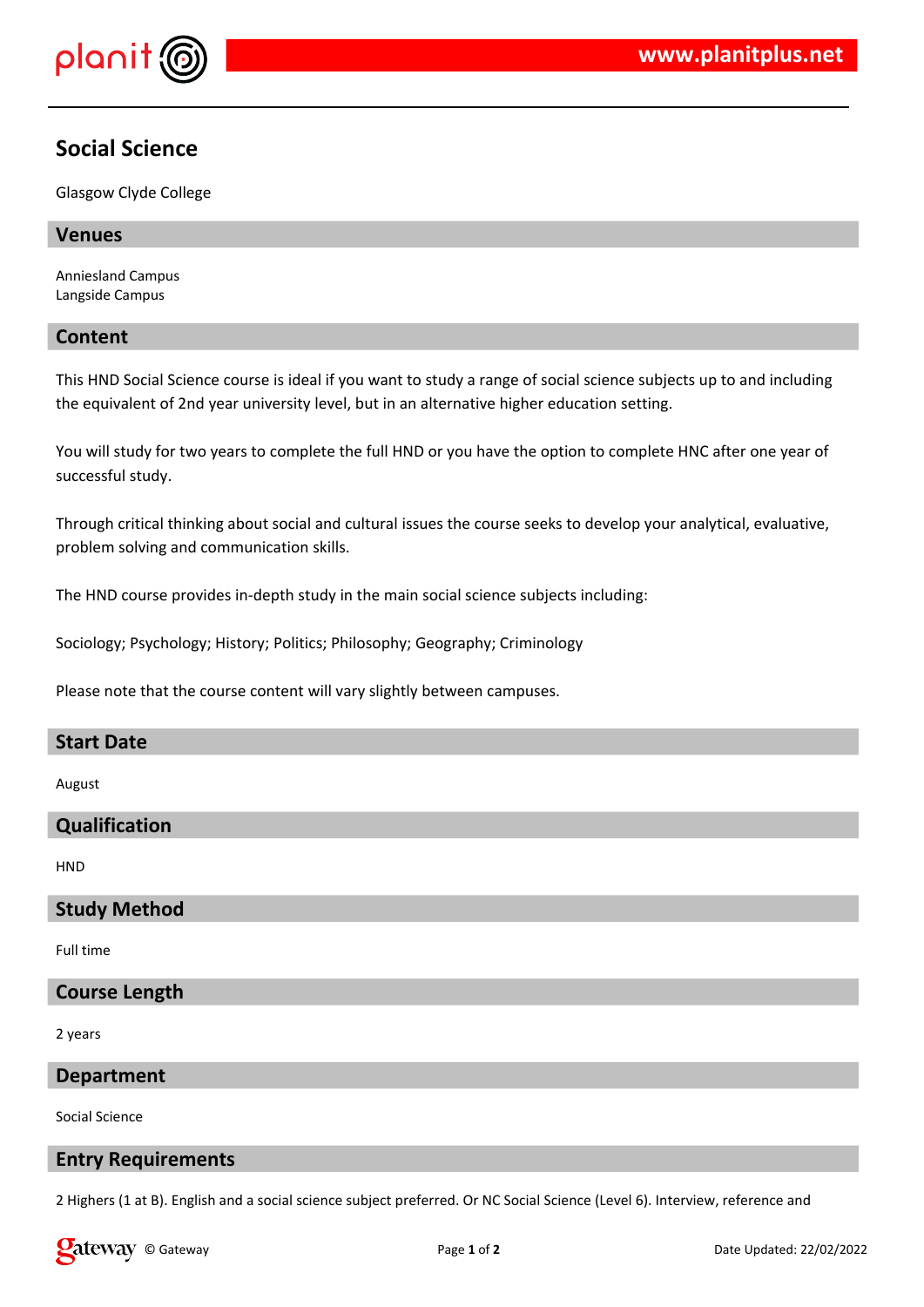

# **Social Science**

Glasgow Clyde College

## **Venues**

Anniesland Campus Langside Campus

## **Content**

This HND Social Science course is ideal if you want to study a range of social science subjects up to and including the equivalent of 2nd year university level, but in an alternative higher education setting.

You will study for two years to complete the full HND or you have the option to complete HNC after one year of successful study.

Through critical thinking about social and cultural issues the course seeks to develop your analytical, evaluative, problem solving and communication skills.

The HND course provides in-depth study in the main social science subjects including:

Sociology; Psychology; History; Politics; Philosophy; Geography; Criminology

Please note that the course content will vary slightly between campuses.

#### **Start Date**

August

# **Qualification**

**HND** 

#### **Study Method**

Full time

# **Course Length**

2 years

## **Department**

Social Science

#### **Entry Requirements**

2 Highers (1 at B). English and a social science subject preferred. Or NC Social Science (Level 6). Interview, reference and